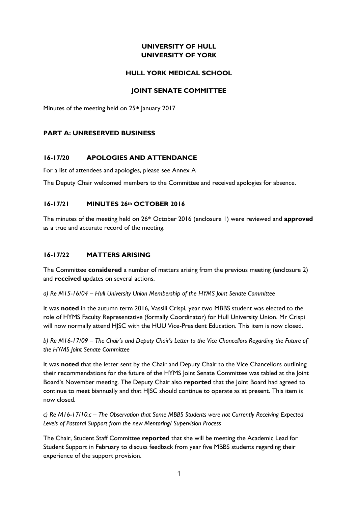# **UNIVERSITY OF HULL UNIVERSITY OF YORK**

### **HULL YORK MEDICAL SCHOOL**

### **JOINT SENATE COMMITTEE**

Minutes of the meeting held on 25<sup>th</sup> January 2017

### **PART A: UNRESERVED BUSINESS**

### **16-17/20 APOLOGIES AND ATTENDANCE**

For a list of attendees and apologies, please see Annex A

The Deputy Chair welcomed members to the Committee and received apologies for absence.

### **16-17/21 MINUTES 26th OCTOBER 2016**

The minutes of the meeting held on 26th October 2016 (enclosure 1) were reviewed and **approved** as a true and accurate record of the meeting.

# **16-17/22 MATTERS ARISING**

The Committee **considered** a number of matters arising from the previous meeting (enclosure 2) and **received** updates on several actions.

*a) Re M15-16/04 – Hull University Union Membership of the HYMS Joint Senate Committee*

It was **noted** in the autumn term 2016, Vassili Crispi, year two MBBS student was elected to the role of HYMS Faculty Representative (formally Coordinator) for Hull University Union. Mr Crispi will now normally attend HJSC with the HUU Vice-President Education. This item is now closed.

*b) Re M16-17/09* – *The Chair's and Deputy Chair's Letter to the Vice Chancellors Regarding the Future of the HYMS Joint Senate Committee*

It was **noted** that the letter sent by the Chair and Deputy Chair to the Vice Chancellors outlining their recommendations for the future of the HYMS Joint Senate Committee was tabled at the Joint Board's November meeting. The Deputy Chair also **reported** that the Joint Board had agreed to continue to meet biannually and that HJSC should continue to operate as at present. This item is now closed.

*c) Re M16-17/10.c* – *The Observation that Some MBBS Students were not Currently Receiving Expected Levels of Pastoral Support from the new Mentoring/ Supervision Process*

The Chair, Student Staff Committee **reported** that she will be meeting the Academic Lead for Student Support in February to discuss feedback from year five MBBS students regarding their experience of the support provision.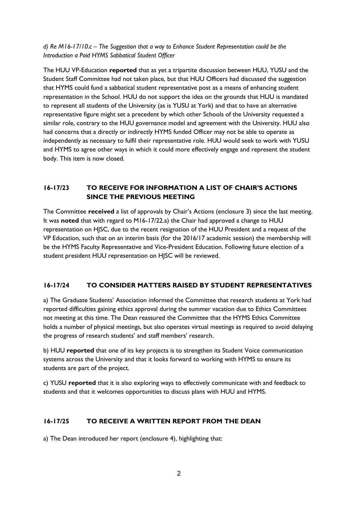*d) Re M16-17/10.c* – *The Suggestion that a way to Enhance Student Representation could be the Introduction a Paid HYMS Sabbatical Student Officer*

The HUU VP-Education **reported** that as yet a tripartite discussion between HUU, YUSU and the Student Staff Committee had not taken place, but that HUU Officers had discussed the suggestion that HYMS could fund a sabbatical student representative post as a means of enhancing student representation in the School. HUU do not support the idea on the grounds that HUU is mandated to represent all students of the University (as is YUSU at York) and that to have an alternative representative figure might set a precedent by which other Schools of the University requested a similar role, contrary to the HUU governance model and agreement with the University. HUU also had concerns that a directly or indirectly HYMS funded Officer may not be able to operate as independently as necessary to fulfil their representative role. HUU would seek to work with YUSU and HYMS to agree other ways in which it could more effectively engage and represent the student body. This item is now closed.

# **16-17/23 TO RECEIVE FOR INFORMATION A LIST OF CHAIR'S ACTIONS SINCE THE PREVIOUS MEETING**

The Committee **received** a list of approvals by Chair's Actions (enclosure 3) since the last meeting. It was **noted** that with regard to M16-17/22.a) the Chair had approved a change to HUU representation on HJSC, due to the recent resignation of the HUU President and a request of the VP Education, such that on an interim basis (for the 2016/17 academic session) the membership will be the HYMS Faculty Representative and Vice-President Education. Following future election of a student president HUU representation on HJSC will be reviewed.

# **16-17/24 TO CONSIDER MATTERS RAISED BY STUDENT REPRESENTATIVES**

a) The Graduate Students' Association informed the Committee that research students at York had reported difficulties gaining ethics approval during the summer vacation due to Ethics Committees not meeting at this time. The Dean reassured the Committee that the HYMS Ethics Committee holds a number of physical meetings, but also operates virtual meetings as required to avoid delaying the progress of research students' and staff members' research.

b) HUU **reported** that one of its key projects is to strengthen its Student Voice communication systems across the University and that it looks forward to working with HYMS to ensure its students are part of the project.

c) YUSU **reported** that it is also exploring ways to effectively communicate with and feedback to students and that it welcomes opportunities to discuss plans with HUU and HYMS.

# **16-17/25 TO RECEIVE A WRITTEN REPORT FROM THE DEAN**

a) The Dean introduced her report (enclosure 4), highlighting that: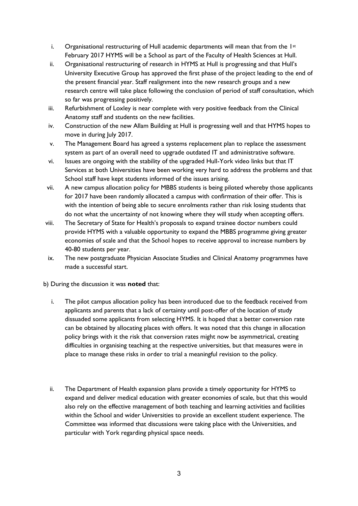- i. Organisational restructuring of Hull academic departments will mean that from the  $1st$ February 2017 HYMS will be a School as part of the Faculty of Health Sciences at Hull.
- ii. Organisational restructuring of research in HYMS at Hull is progressing and that Hull's University Executive Group has approved the first phase of the project leading to the end of the present financial year. Staff realignment into the new research groups and a new research centre will take place following the conclusion of period of staff consultation, which so far was progressing positively.
- iii. Refurbishment of Loxley is near complete with very positive feedback from the Clinical Anatomy staff and students on the new facilities.
- iv. Construction of the new Allam Building at Hull is progressing well and that HYMS hopes to move in during July 2017.
- v. The Management Board has agreed a systems replacement plan to replace the assessment system as part of an overall need to upgrade outdated IT and administrative software.
- vi. Issues are ongoing with the stability of the upgraded Hull-York video links but that IT Services at both Universities have been working very hard to address the problems and that School staff have kept students informed of the issues arising.
- vii. A new campus allocation policy for MBBS students is being piloted whereby those applicants for 2017 have been randomly allocated a campus with confirmation of their offer. This is with the intention of being able to secure enrolments rather than risk losing students that do not what the uncertainty of not knowing where they will study when accepting offers.
- viii. The Secretary of State for Health's proposals to expand trainee doctor numbers could provide HYMS with a valuable opportunity to expand the MBBS programme giving greater economies of scale and that the School hopes to receive approval to increase numbers by 40-80 students per year.
- ix. The new postgraduate Physician Associate Studies and Clinical Anatomy programmes have made a successful start.
- b) During the discussion it was **noted** that:
	- i. The pilot campus allocation policy has been introduced due to the feedback received from applicants and parents that a lack of certainty until post-offer of the location of study dissuaded some applicants from selecting HYMS. It is hoped that a better conversion rate can be obtained by allocating places with offers. It was noted that this change in allocation policy brings with it the risk that conversion rates might now be asymmetrical, creating difficulties in organising teaching at the respective universities, but that measures were in place to manage these risks in order to trial a meaningful revision to the policy.
	- ii. The Department of Health expansion plans provide a timely opportunity for HYMS to expand and deliver medical education with greater economies of scale, but that this would also rely on the effective management of both teaching and learning activities and facilities within the School and wider Universities to provide an excellent student experience. The Committee was informed that discussions were taking place with the Universities, and particular with York regarding physical space needs.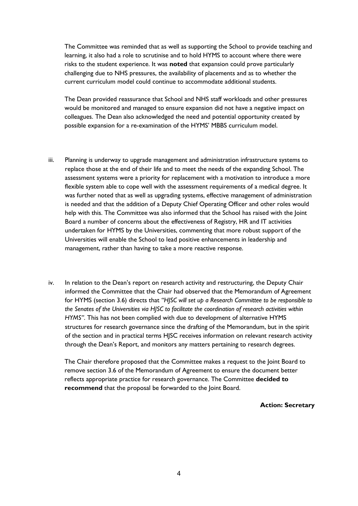The Committee was reminded that as well as supporting the School to provide teaching and learning, it also had a role to scrutinise and to hold HYMS to account where there were risks to the student experience. It was **noted** that expansion could prove particularly challenging due to NHS pressures, the availability of placements and as to whether the current curriculum model could continue to accommodate additional students.

The Dean provided reassurance that School and NHS staff workloads and other pressures would be monitored and managed to ensure expansion did not have a negative impact on colleagues. The Dean also acknowledged the need and potential opportunity created by possible expansion for a re-examination of the HYMS' MBBS curriculum model.

- iii. Planning is underway to upgrade management and administration infrastructure systems to replace those at the end of their life and to meet the needs of the expanding School. The assessment systems were a priority for replacement with a motivation to introduce a more flexible system able to cope well with the assessment requirements of a medical degree. It was further noted that as well as upgrading systems, effective management of administration is needed and that the addition of a Deputy Chief Operating Officer and other roles would help with this. The Committee was also informed that the School has raised with the Joint Board a number of concerns about the effectiveness of Registry, HR and IT activities undertaken for HYMS by the Universities, commenting that more robust support of the Universities will enable the School to lead positive enhancements in leadership and management, rather than having to take a more reactive response.
- iv. In relation to the Dean's report on research activity and restructuring, the Deputy Chair informed the Committee that the Chair had observed that the Memorandum of Agreement for HYMS (section 3.6) directs that *"HJSC will set up a Research Committee to be responsible to the Senates of the Universities via HJSC to facilitate the coordination of research activities within HYMS"*. This has not been complied with due to development of alternative HYMS structures for research governance since the drafting of the Memorandum, but in the spirit of the section and in practical terms HJSC receives information on relevant research activity through the Dean's Report, and monitors any matters pertaining to research degrees.

The Chair therefore proposed that the Committee makes a request to the Joint Board to remove section 3.6 of the Memorandum of Agreement to ensure the document better reflects appropriate practice for research governance. The Committee **decided to recommend** that the proposal be forwarded to the Joint Board.

**Action: Secretary**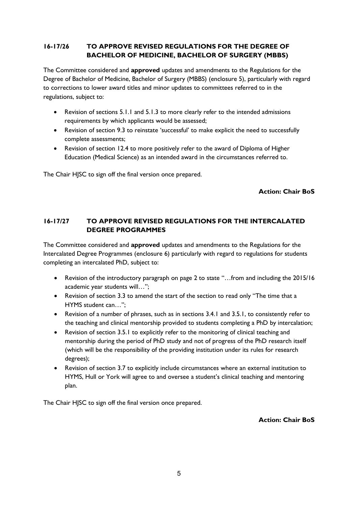# **16-17/26 TO APPROVE REVISED REGULATIONS FOR THE DEGREE OF BACHELOR OF MEDICINE, BACHELOR OF SURGERY (MBBS)**

The Committee considered and **approved** updates and amendments to the Regulations for the Degree of Bachelor of Medicine, Bachelor of Surgery (MBBS) (enclosure 5), particularly with regard to corrections to lower award titles and minor updates to committees referred to in the regulations, subject to:

- Revision of sections 5.1.1 and 5.1.3 to more clearly refer to the intended admissions requirements by which applicants would be assessed;
- Revision of section 9.3 to reinstate 'successful' to make explicit the need to successfully complete assessments;
- Revision of section 12.4 to more positively refer to the award of Diploma of Higher Education (Medical Science) as an intended award in the circumstances referred to.

The Chair HJSC to sign off the final version once prepared.

**Action: Chair BoS**

### **16-17/27 TO APPROVE REVISED REGULATIONS FOR THE INTERCALATED DEGREE PROGRAMMES**

The Committee considered and **approved** updates and amendments to the Regulations for the Intercalated Degree Programmes (enclosure 6) particularly with regard to regulations for students completing an intercalated PhD, subject to:

- Revision of the introductory paragraph on page 2 to state "…from and including the 2015/16 academic year students will…";
- Revision of section 3.3 to amend the start of the section to read only "The time that a HYMS student can…";
- Revision of a number of phrases, such as in sections 3.4.1 and 3.5.1, to consistently refer to the teaching and clinical mentorship provided to students completing a PhD by intercalation;
- Revision of section 3.5.1 to explicitly refer to the monitoring of clinical teaching and mentorship during the period of PhD study and not of progress of the PhD research itself (which will be the responsibility of the providing institution under its rules for research degrees);
- Revision of section 3.7 to explicitly include circumstances where an external institution to HYMS, Hull or York will agree to and oversee a student's clinical teaching and mentoring plan.

The Chair HJSC to sign off the final version once prepared.

**Action: Chair BoS**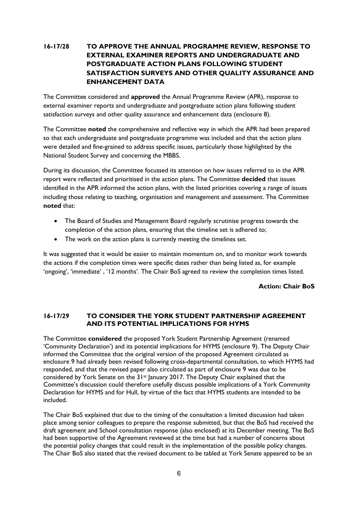# **16-17/28 TO APPROVE THE ANNUAL PROGRAMME REVIEW, RESPONSE TO EXTERNAL EXAMINER REPORTS AND UNDERGRADUATE AND POSTGRADUATE ACTION PLANS FOLLOWING STUDENT SATISFACTION SURVEYS AND OTHER QUALITY ASSURANCE AND ENHANCEMENT DATA**

The Committee considered and **approved** the Annual Programme Review (APR), response to external examiner reports and undergraduate and postgraduate action plans following student satisfaction surveys and other quality assurance and enhancement data (enclosure 8).

The Committee **noted** the comprehensive and reflective way in which the APR had been prepared so that each undergraduate and postgraduate programme was included and that the action plans were detailed and fine-grained to address specific issues, particularly those highlighted by the National Student Survey and concerning the MBBS.

During its discussion, the Committee focussed its attention on how issues referred to in the APR report were reflected and prioritised in the action plans. The Committee **decided** that issues identified in the APR informed the action plans, with the listed priorities covering a range of issues including those relating to teaching, organisation and management and assessment. The Committee **noted** that:

- The Board of Studies and Management Board regularly scrutinise progress towards the completion of the action plans, ensuring that the timeline set is adhered to;
- The work on the action plans is currently meeting the timelines set.

It was suggested that it would be easier to maintain momentum on, and to monitor work towards the actions if the completion times were specific dates rather than being listed as, for example 'ongoing', 'immediate' , '12 months'. The Chair BoS agreed to review the completion times listed.

### **Action: Chair BoS**

#### **16-17/29 TO CONSIDER THE YORK STUDENT PARTNERSHIP AGREEMENT AND ITS POTENTIAL IMPLICATIONS FOR HYMS**

The Committee **considered** the proposed York Student Partnership Agreement (renamed 'Community Declaration') and its potential implications for HYMS (enclosure 9). The Deputy Chair informed the Committee that the original version of the proposed Agreement circulated as enclosure 9 had already been revised following cross-departmental consultation, to which HYMS had responded, and that the revised paper also circulated as part of enclosure 9 was due to be considered by York Senate on the 31<sup>st</sup> January 2017. The Deputy Chair explained that the Committee's discussion could therefore usefully discuss possible implications of a York Community Declaration for HYMS and for Hull, by virtue of the fact that HYMS students are intended to be included.

The Chair BoS explained that due to the timing of the consultation a limited discussion had taken place among senior colleagues to prepare the response submitted, but that the BoS had received the draft agreement and School consultation response (also enclosed) at its December meeting. The BoS had been supportive of the Agreement reviewed at the time but had a number of concerns about the potential policy changes that could result in the implementation of the possible policy changes. The Chair BoS also stated that the revised document to be tabled at York Senate appeared to be an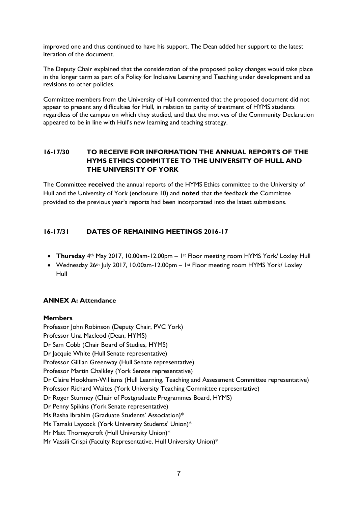improved one and thus continued to have his support. The Dean added her support to the latest iteration of the document.

The Deputy Chair explained that the consideration of the proposed policy changes would take place in the longer term as part of a Policy for Inclusive Learning and Teaching under development and as revisions to other policies.

Committee members from the University of Hull commented that the proposed document did not appear to present any difficulties for Hull, in relation to parity of treatment of HYMS students regardless of the campus on which they studied, and that the motives of the Community Declaration appeared to be in line with Hull's new learning and teaching strategy.

# **16-17/30 TO RECEIVE FOR INFORMATION THE ANNUAL REPORTS OF THE HYMS ETHICS COMMITTEE TO THE UNIVERSITY OF HULL AND THE UNIVERSITY OF YORK**

The Committee **received** the annual reports of the HYMS Ethics committee to the University of Hull and the University of York (enclosure 10) and **noted** that the feedback the Committee provided to the previous year's reports had been incorporated into the latest submissions.

# **16-17/31 DATES OF REMAINING MEETINGS 2016-17**

- **Thursday** 4th May 2017, 10.00am-12.00pm 1st Floor meeting room HYMS York/ Loxley Hull
- Wednesday 26th July 2017, 10.00am-12.00pm 1st Floor meeting room HYMS York/ Loxley Hull

#### **ANNEX A: Attendance**

#### **Members**

Professor John Robinson (Deputy Chair, PVC York) Professor Una Macleod (Dean, HYMS) Dr Sam Cobb (Chair Board of Studies, HYMS) Dr Jacquie White (Hull Senate representative) Professor Gillian Greenway (Hull Senate representative) Professor Martin Chalkley (York Senate representative) Dr Claire Hookham-Williams (Hull Learning, Teaching and Assessment Committee representative) Professor Richard Waites (York University Teaching Committee representative) Dr Roger Sturmey (Chair of Postgraduate Programmes Board, HYMS) Dr Penny Spikins (York Senate representative) Ms Rasha Ibrahim (Graduate Students' Association)\* Ms Tamaki Laycock (York University Students' Union)\* Mr Matt Thorneycroft (Hull University Union)\* Mr Vassili Crispi (Faculty Representative, Hull University Union)\*